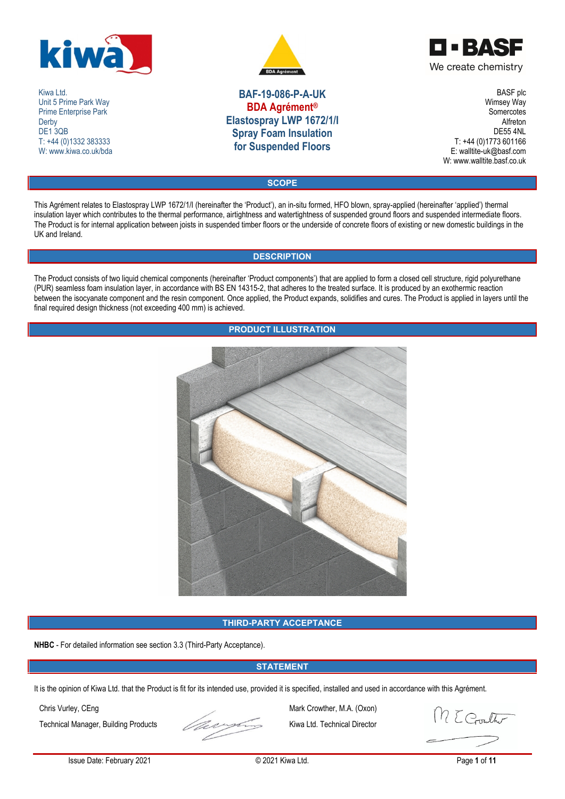

Kiwa Ltd. Unit 5 Prime Park Way Prime Enterprise Park **Derby** DE<sub>1</sub>3QB T: +44 (0)1332 383333 W: www.kiwa.co.uk/bda



**BAF-19-086-P-A-UK BDA Agrément® Elastospray LWP 1672/1/I Spray Foam Insulation for Suspended Floors**

OOBASE We create chemistry

> BASF plc Wimsey Way **Somercotes** Alfreton DE55 4NL T: +44 (0)1773 601166 E: walltite-uk@basf.com W: www.walltite.basf.co.uk

**SCOPE**

This Agrément relates to Elastospray LWP 1672/1/I (hereinafter the 'Product'), an in-situ formed, HFO blown, spray-applied (hereinafter 'applied') thermal insulation layer which contributes to the thermal performance, airtightness and watertightness of suspended ground floors and suspended intermediate floors. The Product is for internal application between joists in suspended timber floors or the underside of concrete floors of existing or new domestic buildings in the UK and Ireland.

# **DESCRIPTION**

The Product consists of two liquid chemical components (hereinafter 'Product components') that are applied to form a closed cell structure, rigid polyurethane (PUR) seamless foam insulation layer, in accordance with BS EN 14315-2, that adheres to the treated surface. It is produced by an exothermic reaction between the isocyanate component and the resin component. Once applied, the Product expands, solidifies and cures. The Product is applied in layers until the final required design thickness (not exceeding 400 mm) is achieved.

# **PRODUCT ILLUSTRATION**



# **THIRD-PARTY ACCEPTANCE**

**NHBC** - For detailed information see section 3.3 (Third-Party Acceptance).

# **STATEMENT**

It is the opinion of Kiwa Ltd. that the Product is fit for its intended use, provided it is specified, installed and used in accordance with this Agrément.



Chris Vurley, CEng Mark Crowther, M.A. (Oxon)

M E Gouther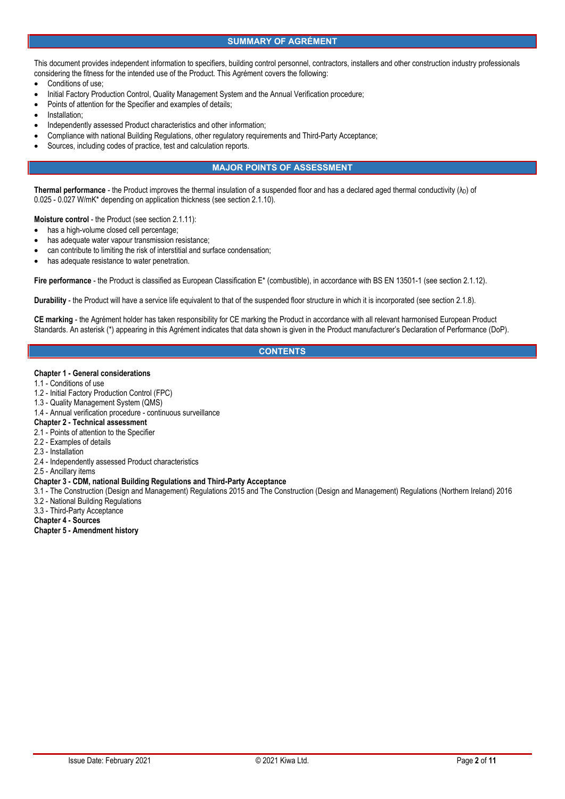## **SUMMARY OF AGRÉMENT**

This document provides independent information to specifiers, building control personnel, contractors, installers and other construction industry professionals considering the fitness for the intended use of the Product. This Agrément covers the following:

- Conditions of use;
- Initial Factory Production Control, Quality Management System and the Annual Verification procedure;
- Points of attention for the Specifier and examples of details;
- Installation;
- Independently assessed Product characteristics and other information;
- Compliance with national Building Regulations, other regulatory requirements and Third-Party Acceptance;
- Sources, including codes of practice, test and calculation reports.

## **MAJOR POINTS OF ASSESSMENT**

**Thermal performance** - the Product improves the thermal insulation of a suspended floor and has a declared aged thermal conductivity  $(\lambda_D)$  of 0.025 - 0.027 W/mK\* depending on application thickness (see section 2.1.10).

**Moisture control** - the Product (see section 2.1.11):

- has a high-volume closed cell percentage;
- has adequate water vapour transmission resistance;
- can contribute to limiting the risk of interstitial and surface condensation;
- has adequate resistance to water penetration.

**Fire performance** - the Product is classified as European Classification E\* (combustible), in accordance with BS EN 13501-1 (see section 2.1.12).

**Durability** - the Product will have a service life equivalent to that of the suspended floor structure in which it is incorporated (see section 2.1.8).

**CE marking** - the Agrément holder has taken responsibility for CE marking the Product in accordance with all relevant harmonised European Product Standards. An asterisk (\*) appearing in this Agrément indicates that data shown is given in the Product manufacturer's Declaration of Performance (DoP).

## **CONTENTS**

#### **Chapter 1 - General considerations**

- 1.1 Conditions of use
- 1.2 Initial Factory Production Control (FPC)
- 1.3 Quality Management System (QMS)
- 1.4 Annual verification procedure continuous surveillance

### **Chapter 2 - Technical assessment**

- 2.1 Points of attention to the Specifier
- 2.2 Examples of details
- 2.3 Installation
- 2.4 Independently assessed Product characteristics
- 2.5 Ancillary items

### **Chapter 3 - CDM, national Building Regulations and Third-Party Acceptance**

- 3.1 The Construction (Design and Management) Regulations 2015 and The Construction (Design and Management) Regulations (Northern Ireland) 2016 3.2 - National Building Regulations
- 3.3 Third-Party Acceptance
- **Chapter 4 - Sources**

**Chapter 5 - Amendment history**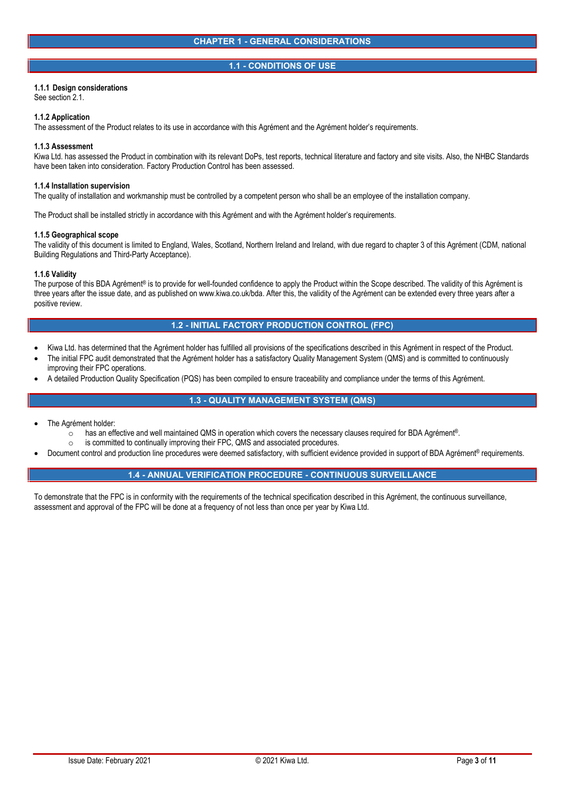### **1.1 - CONDITIONS OF USE**

### **1.1.1 Design considerations**

See section 2.1.

#### **1.1.2 Application**

The assessment of the Product relates to its use in accordance with this Agrément and the Agrément holder's requirements.

#### **1.1.3 Assessment**

Kiwa Ltd. has assessed the Product in combination with its relevant DoPs, test reports, technical literature and factory and site visits. Also, the NHBC Standards have been taken into consideration. Factory Production Control has been assessed.

#### **1.1.4 Installation supervision**

The quality of installation and workmanship must be controlled by a competent person who shall be an employee of the installation company.

The Product shall be installed strictly in accordance with this Agrément and with the Agrément holder's requirements.

#### **1.1.5 Geographical scope**

The validity of this document is limited to England, Wales, Scotland, Northern Ireland and Ireland, with due regard to chapter 3 of this Agrément (CDM, national Building Regulations and Third-Party Acceptance).

#### **1.1.6 Validity**

The purpose of this BDA Agrément® is to provide for well-founded confidence to apply the Product within the Scope described. The validity of this Agrément is three years after the issue date, and as published on www.kiwa.co.uk/bda. After this, the validity of the Agrément can be extended every three years after a positive review.

## **1.2 - INITIAL FACTORY PRODUCTION CONTROL (FPC)**

- Kiwa Ltd. has determined that the Agrément holder has fulfilled all provisions of the specifications described in this Agrément in respect of the Product.
- The initial FPC audit demonstrated that the Agrément holder has a satisfactory Quality Management System (QMS) and is committed to continuously improving their FPC operations.
- A detailed Production Quality Specification (PQS) has been compiled to ensure traceability and compliance under the terms of this Agrément.

# **1.3 - QUALITY MANAGEMENT SYSTEM (QMS)**

- The Agrément holder:
	- o has an effective and well maintained QMS in operation which covers the necessary clauses required for BDA Agrément®.<br>○ is committed to continually improving their FPC. QMS and associated procedures.
	-
- is committed to continually improving their FPC, QMS and associated procedures.<br>Document control and production line procedures were deemed satisfactory, with sufficient evidence provided in support of BDA Agrément® req

# **1.4 - ANNUAL VERIFICATION PROCEDURE - CONTINUOUS SURVEILLANCE**

To demonstrate that the FPC is in conformity with the requirements of the technical specification described in this Agrément, the continuous surveillance, assessment and approval of the FPC will be done at a frequency of not less than once per year by Kiwa Ltd.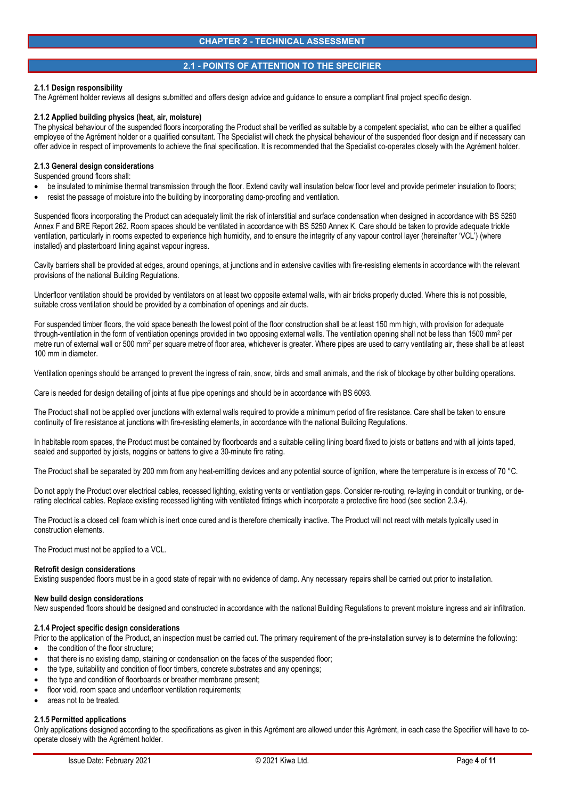# **2.1 - POINTS OF ATTENTION TO THE SPECIFIER**

#### **2.1.1 Design responsibility**

The Agrément holder reviews all designs submitted and offers design advice and guidance to ensure a compliant final project specific design.

#### **2.1.2 Applied building physics (heat, air, moisture)**

The physical behaviour of the suspended floors incorporating the Product shall be verified as suitable by a competent specialist, who can be either a qualified employee of the Agrément holder or a qualified consultant. The Specialist will check the physical behaviour of the suspended floor design and if necessary can offer advice in respect of improvements to achieve the final specification. It is recommended that the Specialist co-operates closely with the Agrément holder.

#### **2.1.3 General design considerations**

Suspended ground floors shall:

- be insulated to minimise thermal transmission through the floor. Extend cavity wall insulation below floor level and provide perimeter insulation to floors;
- resist the passage of moisture into the building by incorporating damp-proofing and ventilation.

Suspended floors incorporating the Product can adequately limit the risk of interstitial and surface condensation when designed in accordance with BS 5250 Annex F and BRE Report 262. Room spaces should be ventilated in accordance with BS 5250 Annex K. Care should be taken to provide adequate trickle ventilation, particularly in rooms expected to experience high humidity, and to ensure the integrity of any vapour control layer (hereinafter 'VCL') (where installed) and plasterboard lining against vapour ingress.

Cavity barriers shall be provided at edges, around openings, at junctions and in extensive cavities with fire-resisting elements in accordance with the relevant provisions of the national Building Regulations.

Underfloor ventilation should be provided by ventilators on at least two opposite external walls, with air bricks properly ducted. Where this is not possible, suitable cross ventilation should be provided by a combination of openings and air ducts.

For suspended timber floors, the void space beneath the lowest point of the floor construction shall be at least 150 mm high, with provision for adequate through-ventilation in the form of ventilation openings provided in two opposing external walls. The ventilation opening shall not be less than 1500 mm<sup>2</sup> per metre run of external wall or 500 mm<sup>2</sup> per square metre of floor area, whichever is greater. Where pipes are used to carry ventilating air, these shall be at least 100 mm in diameter.

Ventilation openings should be arranged to prevent the ingress of rain, snow, birds and small animals, and the risk of blockage by other building operations.

Care is needed for design detailing of joints at flue pipe openings and should be in accordance with BS 6093.

The Product shall not be applied over junctions with external walls required to provide a minimum period of fire resistance. Care shall be taken to ensure continuity of fire resistance at junctions with fire-resisting elements, in accordance with the national Building Regulations.

In habitable room spaces, the Product must be contained by floorboards and a suitable ceiling lining board fixed to joists or battens and with all joints taped, sealed and supported by joists, noggins or battens to give a 30-minute fire rating.

The Product shall be separated by 200 mm from any heat-emitting devices and any potential source of ignition, where the temperature is in excess of 70 °C.

Do not apply the Product over electrical cables, recessed lighting, existing vents or ventilation gaps. Consider re-routing, re-laying in conduit or trunking, or derating electrical cables. Replace existing recessed lighting with ventilated fittings which incorporate a protective fire hood (see section 2.3.4).

The Product is a closed cell foam which is inert once cured and is therefore chemically inactive. The Product will not react with metals typically used in construction elements.

The Product must not be applied to a VCL.

#### **Retrofit design considerations**

Existing suspended floors must be in a good state of repair with no evidence of damp. Any necessary repairs shall be carried out prior to installation.

#### **New build design considerations**

New suspended floors should be designed and constructed in accordance with the national Building Regulations to prevent moisture ingress and air infiltration.

### **2.1.4 Project specific design considerations**

Prior to the application of the Product, an inspection must be carried out. The primary requirement of the pre-installation survey is to determine the following:

- the condition of the floor structure;
- that there is no existing damp, staining or condensation on the faces of the suspended floor;
- the type, suitability and condition of floor timbers, concrete substrates and any openings;
- the type and condition of floorboards or breather membrane present;
- floor void, room space and underfloor ventilation requirements;
- areas not to be treated.

#### **2.1.5 Permitted applications**

Only applications designed according to the specifications as given in this Agrément are allowed under this Agrément, in each case the Specifier will have to co operate closely with the Agrément holder.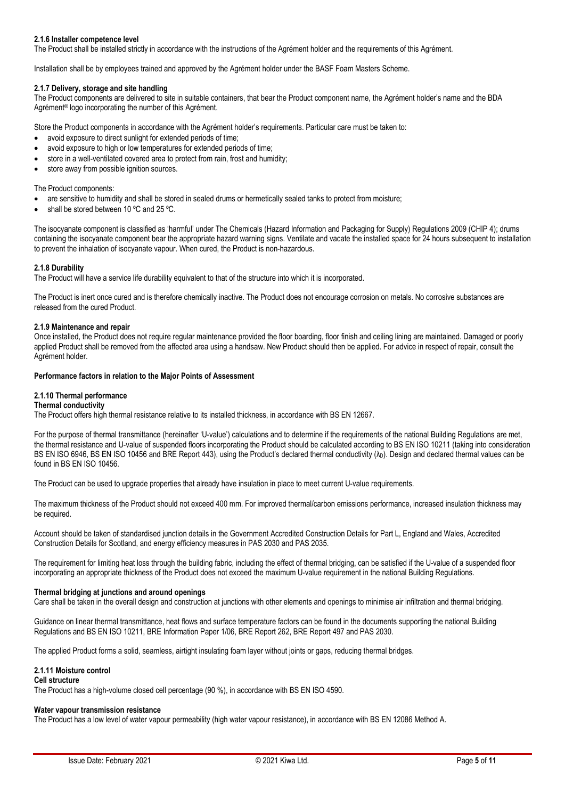## **2.1.6 Installer competence level**

The Product shall be installed strictly in accordance with the instructions of the Agrément holder and the requirements of this Agrément.

Installation shall be by employees trained and approved by the Agrément holder under the BASF Foam Masters Scheme.

### **2.1.7 Delivery, storage and site handling**

The Product components are delivered to site in suitable containers, that bear the Product component name, the Agrément holder's name and the BDA Agrément® logo incorporating the number of this Agrément.

Store the Product components in accordance with the Agrément holder's requirements. Particular care must be taken to:

- avoid exposure to direct sunlight for extended periods of time;
- avoid exposure to high or low temperatures for extended periods of time;
- store in a well-ventilated covered area to protect from rain, frost and humidity;
- store away from possible ignition sources.

#### The Product components:

- are sensitive to humidity and shall be stored in sealed drums or hermetically sealed tanks to protect from moisture;
- shall be stored between 10 ºC and 25 ºC.

The isocyanate component is classified as 'harmful' under The Chemicals (Hazard Information and Packaging for Supply) Regulations 2009 (CHIP 4); drums containing the isocyanate component bear the appropriate hazard warning signs. Ventilate and vacate the installed space for 24 hours subsequent to installation to prevent the inhalation of isocyanate vapour. When cured, the Product is non-hazardous.

### **2.1.8 Durability**

The Product will have a service life durability equivalent to that of the structure into which it is incorporated.

The Product is inert once cured and is therefore chemically inactive. The Product does not encourage corrosion on metals. No corrosive substances are released from the cured Product.

#### **2.1.9 Maintenance and repair**

Once installed, the Product does not require regular maintenance provided the floor boarding, floor finish and ceiling lining are maintained. Damaged or poorly applied Product shall be removed from the affected area using a handsaw. New Product should then be applied. For advice in respect of repair, consult the Agrément holder.

#### **Performance factors in relation to the Major Points of Assessment**

### **2.1.10 Thermal performance**

#### **Thermal conductivity**

The Product offers high thermal resistance relative to its installed thickness, in accordance with BS EN 12667.

For the purpose of thermal transmittance (hereinafter 'U-value') calculations and to determine if the requirements of the national Building Regulations are met, the thermal resistance and U-value of suspended floors incorporating the Product should be calculated according to BS EN ISO 10211 (taking into consideration BS EN ISO 6946, BS EN ISO 10456 and BRE Report 443), using the Product's declared thermal conductivity  $(\lambda_D)$ . Design and declared thermal values can be found in BS EN ISO 10456.

The Product can be used to upgrade properties that already have insulation in place to meet current U-value requirements.

The maximum thickness of the Product should not exceed 400 mm. For improved thermal/carbon emissions performance, increased insulation thickness may be required.

Account should be taken of standardised junction details in the Government Accredited Construction Details for Part L, England and Wales, Accredited Construction Details for Scotland, and energy efficiency measures in PAS 2030 and PAS 2035.

The requirement for limiting heat loss through the building fabric, including the effect of thermal bridging, can be satisfied if the U-value of a suspended floor incorporating an appropriate thickness of the Product does not exceed the maximum U-value requirement in the national Building Regulations.

#### **Thermal bridging at junctions and around openings**

Care shall be taken in the overall design and construction at junctions with other elements and openings to minimise air infiltration and thermal bridging.

Guidance on linear thermal transmittance, heat flows and surface temperature factors can be found in the documents supporting the national Building Regulations and BS EN ISO 10211, BRE Information Paper 1/06, BRE Report 262, BRE Report 497 and PAS 2030.

The applied Product forms a solid, seamless, airtight insulating foam layer without joints or gaps, reducing thermal bridges.

### **2.1.11 Moisture control**

#### **Cell structure**

The Product has a high-volume closed cell percentage (90 %), in accordance with BS EN ISO 4590.

#### **Water vapour transmission resistance**

The Product has a low level of water vapour permeability (high water vapour resistance), in accordance with BS EN 12086 Method A.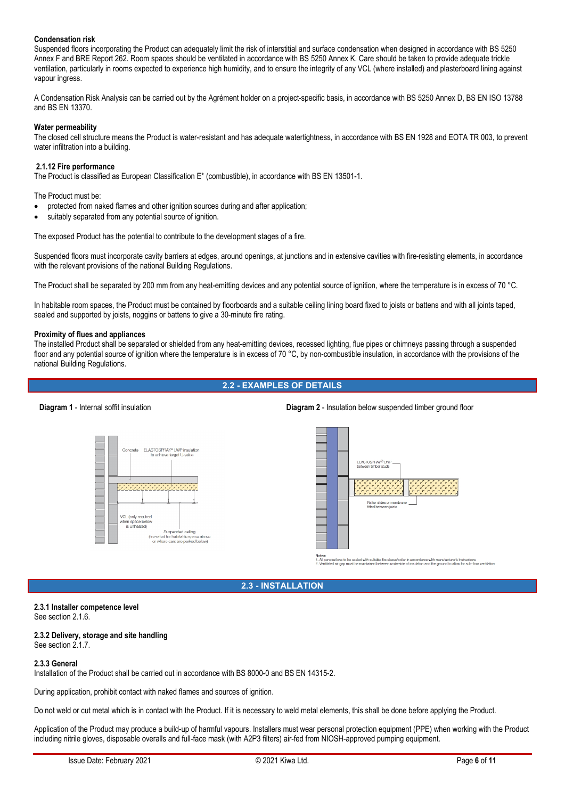# **Condensation risk**

Suspended floors incorporating the Product can adequately limit the risk of interstitial and surface condensation when designed in accordance with BS 5250 Annex F and BRE Report 262. Room spaces should be ventilated in accordance with BS 5250 Annex K. Care should be taken to provide adequate trickle ventilation, particularly in rooms expected to experience high humidity, and to ensure the integrity of any VCL (where installed) and plasterboard lining against vapour ingress.

A Condensation Risk Analysis can be carried out by the Agrément holder on a project-specific basis, in accordance with BS 5250 Annex D, BS EN ISO 13788 and BS EN 13370.

### **Water permeability**

The closed cell structure means the Product is water-resistant and has adequate watertightness, in accordance with BS EN 1928 and EOTA TR 003, to prevent water infiltration into a building.

#### **2.1.12 Fire performance**

The Product is classified as European Classification E\* (combustible), in accordance with BS EN 13501-1.

The Product must be:

- protected from naked flames and other ignition sources during and after application;
- suitably separated from any potential source of ignition.

The exposed Product has the potential to contribute to the development stages of a fire.

Suspended floors must incorporate cavity barriers at edges, around openings, at junctions and in extensive cavities with fire-resisting elements, in accordance with the relevant provisions of the national Building Regulations.

The Product shall be separated by 200 mm from any heat-emitting devices and any potential source of ignition, where the temperature is in excess of 70 °C.

In habitable room spaces, the Product must be contained by floorboards and a suitable ceiling lining board fixed to joists or battens and with all joints taped, sealed and supported by joists, noggins or battens to give a 30-minute fire rating.

#### **Proximity of flues and appliances**

The installed Product shall be separated or shielded from any heat-emitting devices, recessed lighting, flue pipes or chimneys passing through a suspended floor and any potential source of ignition where the temperature is in excess of 70  $^{\circ}$ C, by non-combustible insulation, in accordance with the provisions of the national Building Regulations.

## **2.2 - EXAMPLES OF DETAILS**

### **Diagram 1** - Internal soffit insulation **Diagram 2** - Insulation below suspended timber ground floor





 $1.$  All  $\mu$ 

# **2.3 - INSTALLATION**

# **2.3.1 Installer competence level**

See section 2.1.6.

#### **2.3.2 Delivery, storage and site handling** See section 2.1.7.

### **2.3.3 General**

Installation of the Product shall be carried out in accordance with BS 8000-0 and BS EN 14315-2.

During application, prohibit contact with naked flames and sources of ignition.

Do not weld or cut metal which is in contact with the Product. If it is necessary to weld metal elements, this shall be done before applying the Product.

Application of the Product may produce a build-up of harmful vapours. Installers must wear personal protection equipment (PPE) when working with the Product including nitrile gloves, disposable overalls and full-face mask (with A2P3 filters) air-fed from NIOSH-approved pumping equipment.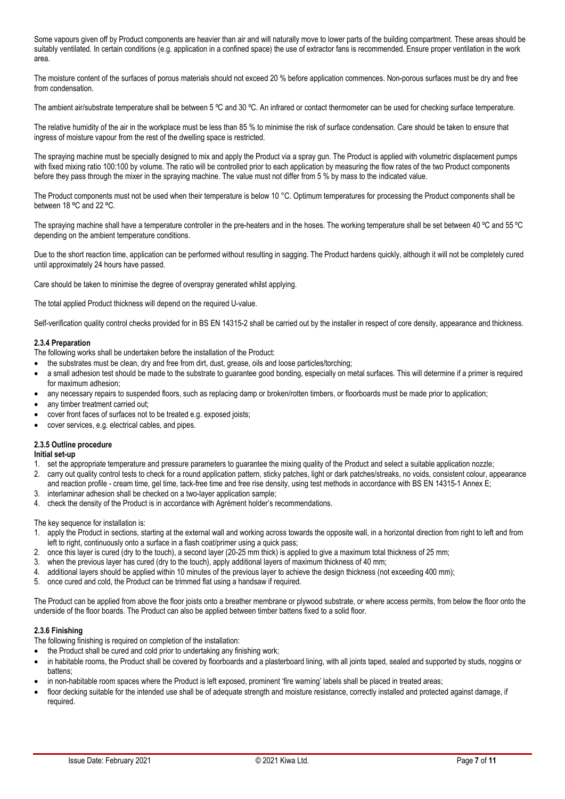Some vapours given off by Product components are heavier than air and will naturally move to lower parts of the building compartment. These areas should be suitably ventilated. In certain conditions (e.g. application in a confined space) the use of extractor fans is recommended. Ensure proper ventilation in the work area.

The moisture content of the surfaces of porous materials should not exceed 20 % before application commences. Non-porous surfaces must be dry and free from condensation.

The ambient air/substrate temperature shall be between 5 °C and 30 °C. An infrared or contact thermometer can be used for checking surface temperature.

The relative humidity of the air in the workplace must be less than 85 % to minimise the risk of surface condensation. Care should be taken to ensure that ingress of moisture vapour from the rest of the dwelling space is restricted.

The spraying machine must be specially designed to mix and apply the Product via a spray gun. The Product is applied with volumetric displacement pumps with fixed mixing ratio 100:100 by volume. The ratio will be controlled prior to each application by measuring the flow rates of the two Product components before they pass through the mixer in the spraying machine. The value must not differ from 5 % by mass to the indicated value.

The Product components must not be used when their temperature is below 10 °C. Optimum temperatures for processing the Product components shall be between 18 °C and 22 °C.

The spraying machine shall have a temperature controller in the pre-heaters and in the hoses. The working temperature shall be set between 40 ºC and 55 ºC depending on the ambient temperature conditions.

Due to the short reaction time, application can be performed without resulting in sagging. The Product hardens quickly, although it will not be completely cured until approximately 24 hours have passed.

Care should be taken to minimise the degree of overspray generated whilst applying.

The total applied Product thickness will depend on the required U-value.

Self-verification quality control checks provided for in BS EN 14315-2 shall be carried out by the installer in respect of core density, appearance and thickness.

## **2.3.4 Preparation**

The following works shall be undertaken before the installation of the Product:

- the substrates must be clean, dry and free from dirt, dust, grease, oils and loose particles/torching;
- a small adhesion test should be made to the substrate to guarantee good bonding, especially on metal surfaces. This will determine if a primer is required for maximum adhesion;
- any necessary repairs to suspended floors, such as replacing damp or broken/rotten timbers, or floorboards must be made prior to application;
- any timber treatment carried out;
- cover front faces of surfaces not to be treated e.g. exposed joists;
- cover services, e.g. electrical cables, and pipes.

# **2.3.5 Outline procedure**

### **Initial set-up**

- 1. set the appropriate temperature and pressure parameters to guarantee the mixing quality of the Product and select a suitable application nozzle;
- 2. carry out quality control tests to check for a round application pattern, sticky patches, light or dark patches/streaks, no voids, consistent colour, appearance and reaction profile - cream time, gel time, tack-free time and free rise density, using test methods in accordance with BS EN 14315-1 Annex E;
- 3. interlaminar adhesion shall be checked on a two-layer application sample;
- 4. check the density of the Product is in accordance with Agrément holder's recommendations.

The key sequence for installation is:

- 1. apply the Product in sections, starting at the external wall and working across towards the opposite wall, in a horizontal direction from right to left and from left to right, continuously onto a surface in a flash coat/primer using a quick pass;
- 2. once this layer is cured (dry to the touch), a second layer (20-25 mm thick) is applied to give a maximum total thickness of 25 mm;
- 3. when the previous layer has cured (dry to the touch), apply additional layers of maximum thickness of 40 mm;
- 4. additional layers should be applied within 10 minutes of the previous layer to achieve the design thickness (not exceeding 400 mm);
- 5. once cured and cold, the Product can be trimmed flat using a handsaw if required.

The Product can be applied from above the floor joists onto a breather membrane or plywood substrate, or where access permits, from below the floor onto the underside of the floor boards. The Product can also be applied between timber battens fixed to a solid floor.

# **2.3.6 Finishing**

The following finishing is required on completion of the installation:

- the Product shall be cured and cold prior to undertaking any finishing work;
- in habitable rooms, the Product shall be covered by floorboards and a plasterboard lining, with all joints taped, sealed and supported by studs, noggins or battens;
- in non-habitable room spaces where the Product is left exposed, prominent 'fire warning' labels shall be placed in treated areas;
- floor decking suitable for the intended use shall be of adequate strength and moisture resistance, correctly installed and protected against damage, if required.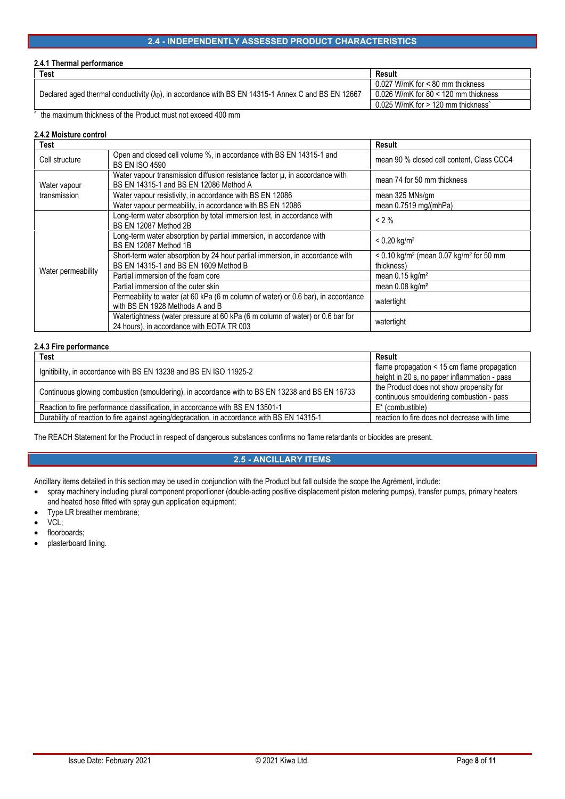# **2.4 - INDEPENDENTLY ASSESSED PRODUCT CHARACTERISTICS**

### **2.4.1 Thermal performance**

| Test                                                                                                        | Result                                                               |  |
|-------------------------------------------------------------------------------------------------------------|----------------------------------------------------------------------|--|
|                                                                                                             | $0.027$ W/mK for < 80 mm thickness                                   |  |
| Declared aged thermal conductivity $(\lambda_D)$ , in accordance with BS EN 14315-1 Annex C and BS EN 12667 | 0.026 W/mK for 80 $<$ 120 mm thickness                               |  |
|                                                                                                             | $0.025$ W/mK for $> 120$ mm thickness <sup><math>\hat{}</math></sup> |  |

^ the maximum thickness of the Product must not exceed 400 mm

# **2.4.2 Moisture control**

| <b>Test</b>                  |                                                                                                                            | Result                                                                          |
|------------------------------|----------------------------------------------------------------------------------------------------------------------------|---------------------------------------------------------------------------------|
| Cell structure               | Open and closed cell volume %, in accordance with BS EN 14315-1 and<br><b>BS EN ISO 4590</b>                               | mean 90 % closed cell content, Class CCC4                                       |
| Water vapour<br>transmission | Water vapour transmission diffusion resistance factor $\mu$ , in accordance with<br>BS EN 14315-1 and BS EN 12086 Method A | mean 74 for 50 mm thickness                                                     |
|                              | Water vapour resistivity, in accordance with BS EN 12086                                                                   | mean 325 MNs/gm                                                                 |
|                              | Water vapour permeability, in accordance with BS EN 12086                                                                  | mean 0.7519 mg/(mhPa)                                                           |
| Water permeability           | Long-term water absorption by total immersion test, in accordance with<br>BS EN 12087 Method 2B                            | $< 2 \%$                                                                        |
|                              | Long-term water absorption by partial immersion, in accordance with<br>BS EN 12087 Method 1B                               | $< 0.20$ kg/m <sup>2</sup>                                                      |
|                              | Short-term water absorption by 24 hour partial immersion, in accordance with<br>BS EN 14315-1 and BS EN 1609 Method B      | $< 0.10$ kg/m <sup>2</sup> (mean 0.07 kg/m <sup>2</sup> for 50 mm<br>thickness) |
|                              | Partial immersion of the foam core                                                                                         | mean $0.15$ kg/m <sup>2</sup>                                                   |
|                              | Partial immersion of the outer skin                                                                                        | mean $0.08$ kg/m <sup>2</sup>                                                   |
|                              | Permeability to water (at 60 kPa (6 m column of water) or 0.6 bar), in accordance<br>with BS EN 1928 Methods A and B       | watertight                                                                      |
|                              | Watertightness (water pressure at 60 kPa (6 m column of water) or 0.6 bar for<br>24 hours), in accordance with EOTA TR 003 | watertight                                                                      |

## **2.4.3 Fire performance**

| Test                                                                                           | Result                                       |  |
|------------------------------------------------------------------------------------------------|----------------------------------------------|--|
| Ignitibility, in accordance with BS EN 13238 and BS EN ISO 11925-2                             | flame propagation < 15 cm flame propagation  |  |
|                                                                                                | height in 20 s, no paper inflammation - pass |  |
| Continuous glowing combustion (smouldering), in accordance with to BS EN 13238 and BS EN 16733 | the Product does not show propensity for     |  |
|                                                                                                | continuous smouldering combustion - pass     |  |
| Reaction to fire performance classification, in accordance with BS EN 13501-1                  | $E^*$ (combustible)                          |  |
| Durability of reaction to fire against ageing/degradation, in accordance with BS EN 14315-1    | reaction to fire does not decrease with time |  |

The REACH Statement for the Product in respect of dangerous substances confirms no flame retardants or biocides are present.

# **2.5 - ANCILLARY ITEMS**

Ancillary items detailed in this section may be used in conjunction with the Product but fall outside the scope the Agrément, include:

- spray machinery including plural component proportioner (double-acting positive displacement piston metering pumps), transfer pumps, primary heaters and heated hose fitted with spray gun application equipment;
- Type LR breather membrane;
- VCL;
- floorboards;
- plasterboard lining.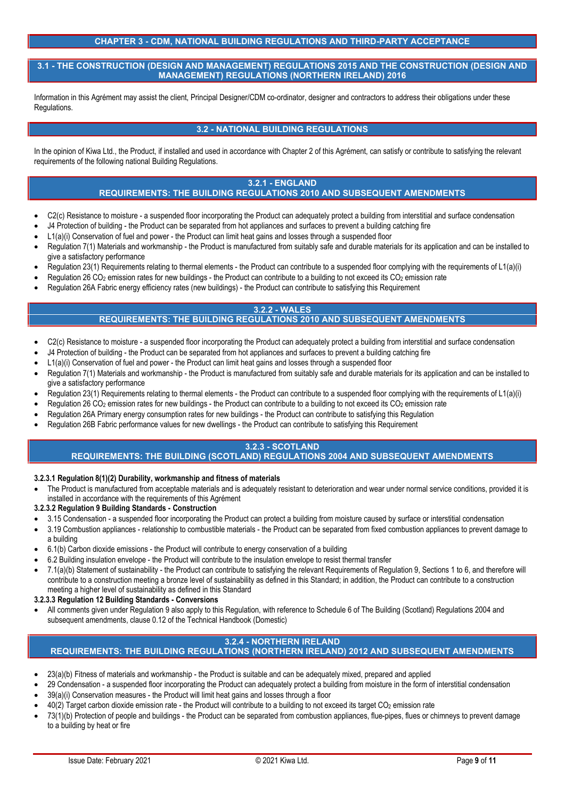# **CHAPTER 3 - CDM, NATIONAL BUILDING REGULATIONS AND THIRD-PARTY ACCEPTANCE**

**3.1 - THE CONSTRUCTION (DESIGN AND MANAGEMENT) REGULATIONS 2015 AND THE CONSTRUCTION (DESIGN AND MANAGEMENT) REGULATIONS (NORTHERN IRELAND) 2016**

Information in this Agrément may assist the client, Principal Designer/CDM co-ordinator, designer and contractors to address their obligations under these Regulations.

# **3.2 - NATIONAL BUILDING REGULATIONS**

In the opinion of Kiwa Ltd., the Product, if installed and used in accordance with Chapter 2 of this Agrément, can satisfy or contribute to satisfying the relevant requirements of the following national Building Regulations.

# **3.2.1 - ENGLAND**

# **REQUIREMENTS: THE BUILDING REGULATIONS 2010 AND SUBSEQUENT AMENDMENTS**

- C<sub>2</sub>(c) Resistance to moisture a suspended floor incorporating the Product can adequately protect a building from interstitial and surface condensation
- J4 Protection of building the Product can be separated from hot appliances and surfaces to prevent a building catching fire
- L1(a)(i) Conservation of fuel and power the Product can limit heat gains and losses through a suspended floor
- Regulation 7(1) Materials and workmanship the Product is manufactured from suitably safe and durable materials for its application and can be installed to give a satisfactory performance
- Regulation 23(1) Requirements relating to thermal elements the Product can contribute to a suspended floor complying with the requirements of L1(a)(i)
- Regulation 26 CO<sub>2</sub> emission rates for new buildings the Product can contribute to a building to not exceed its CO<sub>2</sub> emission rate
- Regulation 26A Fabric energy efficiency rates (new buildings) the Product can contribute to satisfying this Requirement

#### **3.2.2 - WALES REQUIREMENTS: THE BUILDING REGULATIONS 2010 AND SUBSEQUENT AMENDMENTS**

- C2(c) Resistance to moisture a suspended floor incorporating the Product can adequately protect a building from interstitial and surface condensation
- J4 Protection of building the Product can be separated from hot appliances and surfaces to prevent a building catching fire
- L1(a)(i) Conservation of fuel and power the Product can limit heat gains and losses through a suspended floor
- Regulation 7(1) Materials and workmanship the Product is manufactured from suitably safe and durable materials for its application and can be installed to give a satisfactory performance
- Regulation 23(1) Requirements relating to thermal elements the Product can contribute to a suspended floor complying with the requirements of L1(a)(i)
- Regulation 26 CO<sub>2</sub> emission rates for new buildings the Product can contribute to a building to not exceed its CO<sub>2</sub> emission rate
- Regulation 26A Primary energy consumption rates for new buildings the Product can contribute to satisfying this Regulation
- Regulation 26B Fabric performance values for new dwellings the Product can contribute to satisfying this Requirement

# **3.2.3 - SCOTLAND**

# **REQUIREMENTS: THE BUILDING (SCOTLAND) REGULATIONS 2004 AND SUBSEQUENT AMENDMENTS**

### **3.2.3.1 Regulation 8(1)(2) Durability, workmanship and fitness of materials**

 The Product is manufactured from acceptable materials and is adequately resistant to deterioration and wear under normal service conditions, provided it is installed in accordance with the requirements of this Agrément

## **3.2.3.2 Regulation 9 Building Standards - Construction**

- 3.15 Condensation a suspended floor incorporating the Product can protect a building from moisture caused by surface or interstitial condensation
- 3.19 Combustion appliances relationship to combustible materials the Product can be separated from fixed combustion appliances to prevent damage to a building
- 6.1(b) Carbon dioxide emissions the Product will contribute to energy conservation of a building
- 6.2 Building insulation envelope the Product will contribute to the insulation envelope to resist thermal transfer
- 7.1(a)(b) Statement of sustainability the Product can contribute to satisfying the relevant Requirements of Regulation 9, Sections 1 to 6, and therefore will contribute to a construction meeting a bronze level of sustainability as defined in this Standard; in addition, the Product can contribute to a construction meeting a higher level of sustainability as defined in this Standard

**3.2.3.3 Regulation 12 Building Standards - Conversions**

 All comments given under Regulation 9 also apply to this Regulation, with reference to Schedule 6 of The Building (Scotland) Regulations 2004 and subsequent amendments, clause 0.12 of the Technical Handbook (Domestic)

# **3.2.4 - NORTHERN IRELAND**

# **REQUIREMENTS: THE BUILDING REGULATIONS (NORTHERN IRELAND) 2012 AND SUBSEQUENT AMENDMENTS**

- 23(a)(b) Fitness of materials and workmanship the Product is suitable and can be adequately mixed, prepared and applied
- 29 Condensation a suspended floor incorporating the Product can adequately protect a building from moisture in the form of interstitial condensation
- 39(a)(i) Conservation measures the Product will limit heat gains and losses through a floor
- 40(2) Target carbon dioxide emission rate the Product will contribute to a building to not exceed its target CO<sup>2</sup> emission rate
- 73(1)(b) Protection of people and buildings the Product can be separated from combustion appliances, flue-pipes, flues or chimneys to prevent damage to a building by heat or fire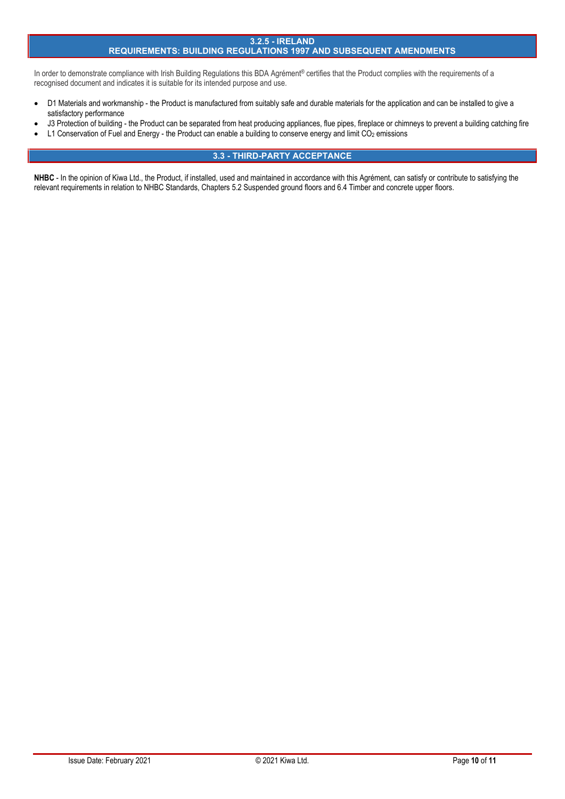### **3.2.5 - IRELAND**

# **REQUIREMENTS: BUILDING REGULATIONS 1997 AND SUBSEQUENT AMENDMENTS**

In order to demonstrate compliance with Irish Building Regulations this BDA Agrément® certifies that the Product complies with the requirements of a recognised document and indicates it is suitable for its intended purpose and use.

- D1 Materials and workmanship the Product is manufactured from suitably safe and durable materials for the application and can be installed to give a satisfactory performance
- J3 Protection of building the Product can be separated from heat producing appliances, flue pipes, fireplace or chimneys to prevent a building catching fire
- L1 Conservation of Fuel and Energy the Product can enable a building to conserve energy and limit CO<sub>2</sub> emissions

# **3.3 - THIRD-PARTY ACCEPTANCE**

NHBC - In the opinion of Kiwa Ltd., the Product, if installed, used and maintained in accordance with this Agrément, can satisfy or contribute to satisfying the relevant requirements in relation to NHBC Standards, Chapters 5.2 Suspended ground floors and 6.4 Timber and concrete upper floors.